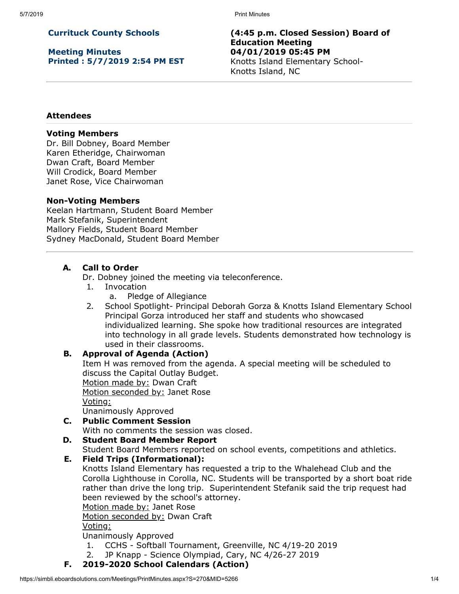5/7/2019 Print Minutes

# **Currituck County Schools**

**Meeting Minutes Printed : 5/7/2019 2:54 PM EST** **(4:45 p.m. Closed Session) Board of Education Meeting 04/01/2019 05:45 PM** Knotts Island Elementary School-Knotts Island, NC

## **Attendees**

## **Voting Members**

Dr. Bill Dobney, Board Member Karen Etheridge, Chairwoman Dwan Craft, Board Member Will Crodick, Board Member Janet Rose, Vice Chairwoman

### **Non-Voting Members**

Keelan Hartmann, Student Board Member Mark Stefanik, Superintendent Mallory Fields, Student Board Member Sydney MacDonald, Student Board Member

# **A. Call to Order**

Dr. Dobney joined the meeting via teleconference.

- 1. Invocation
	- a. Pledge of Allegiance
- 2. School Spotlight- Principal Deborah Gorza & Knotts Island Elementary School Principal Gorza introduced her staff and students who showcased individualized learning. She spoke how traditional resources are integrated into technology in all grade levels. Students demonstrated how technology is used in their classrooms.

### **B. Approval of Agenda (Action)**

Item H was removed from the agenda. A special meeting will be scheduled to discuss the Capital Outlay Budget.

Motion made by: Dwan Craft

Motion seconded by: Janet Rose

Voting:

Unanimously Approved

**C. Public Comment Session**

With no comments the session was closed.

### **D. Student Board Member Report**

Student Board Members reported on school events, competitions and athletics.

### **E. Field Trips (Informational):**

Knotts Island Elementary has requested a trip to the Whalehead Club and the Corolla Lighthouse in Corolla, NC. Students will be transported by a short boat ride rather than drive the long trip. Superintendent Stefanik said the trip request had been reviewed by the school's attorney.

Motion made by: Janet Rose

Motion seconded by: Dwan Craft

Voting:

Unanimously Approved

- 1. CCHS Softball Tournament, Greenville, NC 4/19-20 2019
- 2. JP Knapp Science Olympiad, Cary, NC 4/26-27 2019
- **F. 2019-2020 School Calendars (Action)**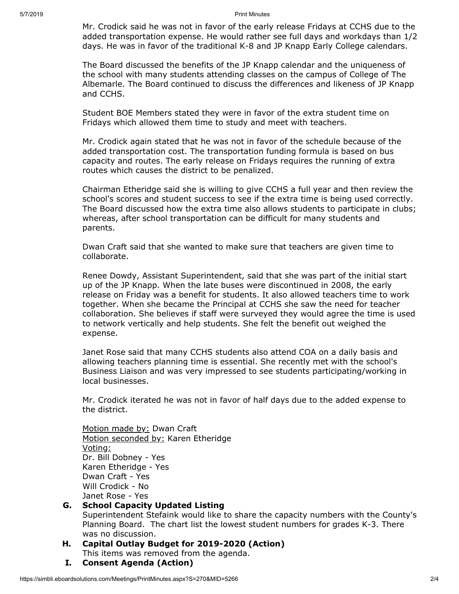5/7/2019 Print Minutes

Mr. Crodick said he was not in favor of the early release Fridays at CCHS due to the added transportation expense. He would rather see full days and workdays than 1/2 days. He was in favor of the traditional K-8 and JP Knapp Early College calendars.

The Board discussed the benefits of the JP Knapp calendar and the uniqueness of the school with many students attending classes on the campus of College of The Albemarle. The Board continued to discuss the differences and likeness of JP Knapp and CCHS.

Student BOE Members stated they were in favor of the extra student time on Fridays which allowed them time to study and meet with teachers.

Mr. Crodick again stated that he was not in favor of the schedule because of the added transportation cost. The transportation funding formula is based on bus capacity and routes. The early release on Fridays requires the running of extra routes which causes the district to be penalized.

Chairman Etheridge said she is willing to give CCHS a full year and then review the school's scores and student success to see if the extra time is being used correctly. The Board discussed how the extra time also allows students to participate in clubs; whereas, after school transportation can be difficult for many students and parents.

Dwan Craft said that she wanted to make sure that teachers are given time to collaborate.

Renee Dowdy, Assistant Superintendent, said that she was part of the initial start up of the JP Knapp. When the late buses were discontinued in 2008, the early release on Friday was a benefit for students. It also allowed teachers time to work together. When she became the Principal at CCHS she saw the need for teacher collaboration. She believes if staff were surveyed they would agree the time is used to network vertically and help students. She felt the benefit out weighed the expense.

Janet Rose said that many CCHS students also attend COA on a daily basis and allowing teachers planning time is essential. She recently met with the school's Business Liaison and was very impressed to see students participating/working in local businesses.

Mr. Crodick iterated he was not in favor of half days due to the added expense to the district.

Motion made by: Dwan Craft Motion seconded by: Karen Etheridge Voting: Dr. Bill Dobney - Yes Karen Etheridge - Yes Dwan Craft - Yes Will Crodick - No Janet Rose - Yes

### **G. School Capacity Updated Listing**

Superintendent Stefaink would like to share the capacity numbers with the County's Planning Board. The chart list the lowest student numbers for grades K-3. There was no discussion.

### **H. Capital Outlay Budget for 2019-2020 (Action)**

This items was removed from the agenda.

**I. Consent Agenda (Action)**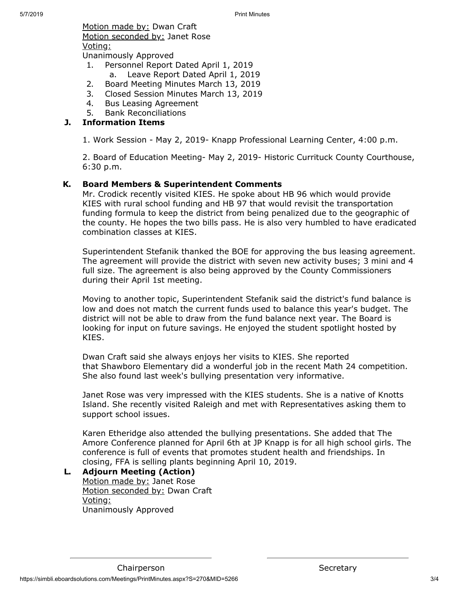Motion made by: Dwan Craft Motion seconded by: Janet Rose Voting:

Unanimously Approved

- 1. Personnel Report Dated April 1, 2019
	- a. Leave Report Dated April 1, 2019
- 2. Board Meeting Minutes March 13, 2019
- 3. Closed Session Minutes March 13, 2019
- 4. Bus Leasing Agreement
- 5. Bank Reconciliations

## **J. Information Items**

1. Work Session - May 2, 2019- Knapp Professional Learning Center, 4:00 p.m.

2. Board of Education Meeting- May 2, 2019- Historic Currituck County Courthouse, 6:30 p.m.

### **K. Board Members & Superintendent Comments**

Mr. Crodick recently visited KIES. He spoke about HB 96 which would provide KIES with rural school funding and HB 97 that would revisit the transportation funding formula to keep the district from being penalized due to the geographic of the county. He hopes the two bills pass. He is also very humbled to have eradicated combination classes at KIES.

Superintendent Stefanik thanked the BOE for approving the bus leasing agreement. The agreement will provide the district with seven new activity buses; 3 mini and 4 full size. The agreement is also being approved by the County Commissioners during their April 1st meeting.

Moving to another topic, Superintendent Stefanik said the district's fund balance is low and does not match the current funds used to balance this year's budget. The district will not be able to draw from the fund balance next year. The Board is looking for input on future savings. He enjoyed the student spotlight hosted by KIES.

Dwan Craft said she always enjoys her visits to KIES. She reported that Shawboro Elementary did a wonderful job in the recent Math 24 competition. She also found last week's bullying presentation very informative.

Janet Rose was very impressed with the KIES students. She is a native of Knotts Island. She recently visited Raleigh and met with Representatives asking them to support school issues.

Karen Etheridge also attended the bullying presentations. She added that The Amore Conference planned for April 6th at JP Knapp is for all high school girls. The conference is full of events that promotes student health and friendships. In closing, FFA is selling plants beginning April 10, 2019.

### **L. Adjourn Meeting (Action)**

Motion made by: Janet Rose Motion seconded by: Dwan Craft Voting: Unanimously Approved